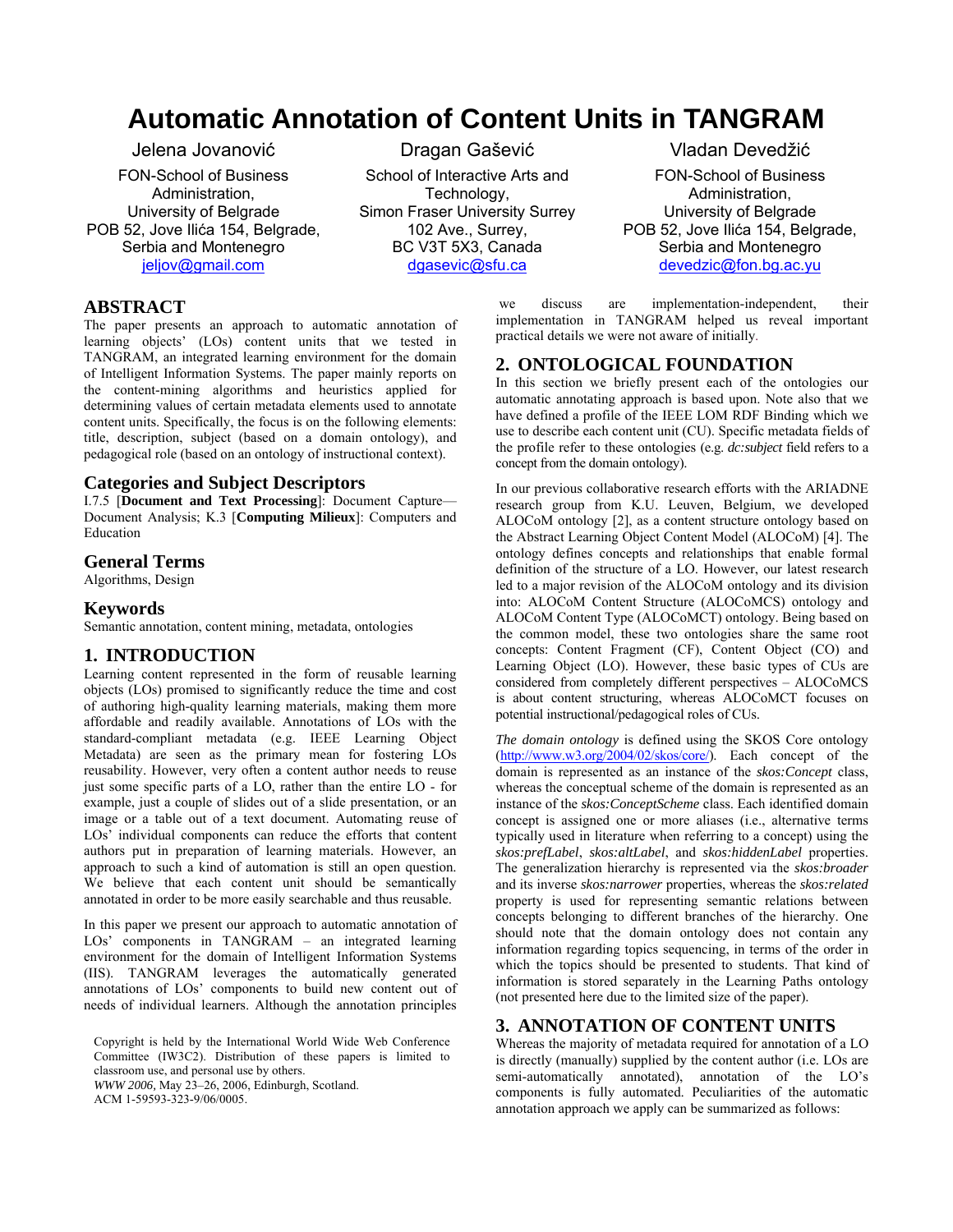# **Automatic Annotation of Content Units in TANGRAM**

Jelena Jovanović

FON-School of Business Administration, University of Belgrade POB 52, Jove Ilića 154, Belgrade, Serbia and Montenegro jeljov@gmail.com

Dragan Gašević School of Interactive Arts and Technology, Simon Fraser University Surrey 102 Ave., Surrey, BC V3T 5X3, Canada dgasevic@sfu.ca

# **ABSTRACT**

The paper presents an approach to automatic annotation of learning objects' (LOs) content units that we tested in TANGRAM, an integrated learning environment for the domain of Intelligent Information Systems. The paper mainly reports on the content-mining algorithms and heuristics applied for determining values of certain metadata elements used to annotate content units. Specifically, the focus is on the following elements: title, description, subject (based on a domain ontology), and pedagogical role (based on an ontology of instructional context).

## **Categories and Subject Descriptors**

I.7.5 [**Document and Text Processing**]: Document Capture— Document Analysis; K.3 [**Computing Milieux**]: Computers and Education

#### **General Terms**

Algorithms, Design

#### **Keywords**

Semantic annotation, content mining, metadata, ontologies

#### **1. INTRODUCTION**

Learning content represented in the form of reusable learning objects (LOs) promised to significantly reduce the time and cost of authoring high-quality learning materials, making them more affordable and readily available. Annotations of LOs with the standard-compliant metadata (e.g. IEEE Learning Object Metadata) are seen as the primary mean for fostering LOs reusability. However, very often a content author needs to reuse just some specific parts of a LO, rather than the entire LO - for example, just a couple of slides out of a slide presentation, or an image or a table out of a text document. Automating reuse of LOs' individual components can reduce the efforts that content authors put in preparation of learning materials. However, an approach to such a kind of automation is still an open question. We believe that each content unit should be semantically annotated in order to be more easily searchable and thus reusable.

In this paper we present our approach to automatic annotation of LOs' components in TANGRAM – an integrated learning environment for the domain of Intelligent Information Systems (IIS). TANGRAM leverages the automatically generated annotations of LOs' components to build new content out of needs of individual learners. Although the annotation principles

Copyright is held by the International World Wide Web Conference Committee (IW3C2). Distribution of these papers is limited to classroom use, and personal use by others. *WWW 2006,* May 23–26, 2006, Edinburgh, Scotland.

ACM 1-59593-323-9/06/0005.

Vladan Devedžić

FON-School of Business Administration, University of Belgrade POB 52, Jove Ilića 154, Belgrade, Serbia and Montenegro devedzic@fon.bg.ac.yu

 we discuss are implementation-independent, their implementation in TANGRAM helped us reveal important practical details we were not aware of initially.

#### **2. ONTOLOGICAL FOUNDATION**

In this section we briefly present each of the ontologies our automatic annotating approach is based upon. Note also that we have defined a profile of the IEEE LOM RDF Binding which we use to describe each content unit (CU). Specific metadata fields of the profile refer to these ontologies (e.g. *dc:subject* field refers to a concept from the domain ontology).

In our previous collaborative research efforts with the ARIADNE research group from K.U. Leuven, Belgium, we developed ALOCoM ontology [2], as a content structure ontology based on the Abstract Learning Object Content Model (ALOCoM) [4]. The ontology defines concepts and relationships that enable formal definition of the structure of a LO. However, our latest research led to a major revision of the ALOCoM ontology and its division into: ALOCoM Content Structure (ALOCoMCS) ontology and ALOCoM Content Type (ALOCoMCT) ontology. Being based on the common model, these two ontologies share the same root concepts: Content Fragment (CF), Content Object (CO) and Learning Object (LO). However, these basic types of CUs are considered from completely different perspectives – ALOCoMCS is about content structuring, whereas ALOCoMCT focuses on potential instructional/pedagogical roles of CUs.

*The domain ontology* is defined using the SKOS Core ontology (http://www.w3.org/2004/02/skos/core/). Each concept of the domain is represented as an instance of the *skos:Concept* class, whereas the conceptual scheme of the domain is represented as an instance of the *skos:ConceptScheme* class. Each identified domain concept is assigned one or more aliases (i.e., alternative terms typically used in literature when referring to a concept) using the *skos:prefLabel*, *skos:altLabel*, and *skos:hiddenLabel* properties. The generalization hierarchy is represented via the *skos:broader* and its inverse *skos:narrower* properties, whereas the *skos:related* property is used for representing semantic relations between concepts belonging to different branches of the hierarchy. One should note that the domain ontology does not contain any information regarding topics sequencing, in terms of the order in which the topics should be presented to students. That kind of information is stored separately in the Learning Paths ontology (not presented here due to the limited size of the paper).

## **3. ANNOTATION OF CONTENT UNITS**

Whereas the majority of metadata required for annotation of a LO is directly (manually) supplied by the content author (i.e. LOs are semi-automatically annotated), annotation of the LO's components is fully automated. Peculiarities of the automatic annotation approach we apply can be summarized as follows: